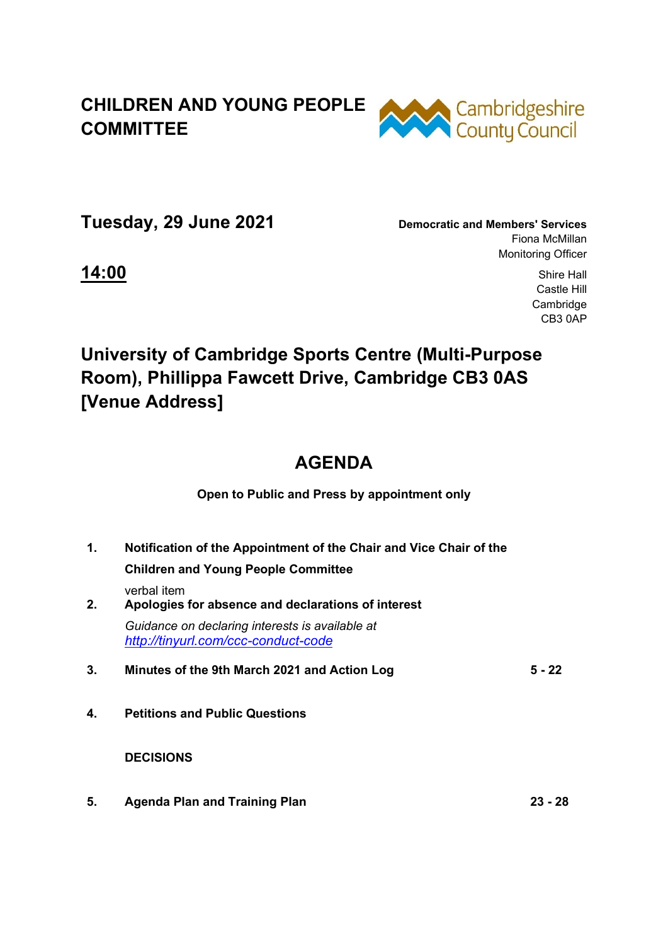### **CHILDREN AND YOUNG PEOPLE COMMITTEE**



**Tuesday, 29 June 2021 Democratic and Members' Services**

Fiona McMillan Monitoring Officer

**14:00** Shire Hall Castle Hill Cambridge CB3 0AP

# **University of Cambridge Sports Centre (Multi-Purpose Room), Phillippa Fawcett Drive, Cambridge CB3 0AS [Venue Address]**

## **AGENDA**

**Open to Public and Press by appointment only** 

**1. Notification of the Appointment of the Chair and Vice Chair of the Children and Young People Committee**  verbal item **2. Apologies for absence and declarations of interest**  *Guidance on declaring interests is available at <http://tinyurl.com/ccc-conduct-code>* **3. Minutes of the 9th March 2021 and Action Log 5 - 22 4. Petitions and Public Questions** 

 **DECISIONS** 

**5. Agenda Plan and Training Plan 23 - 28**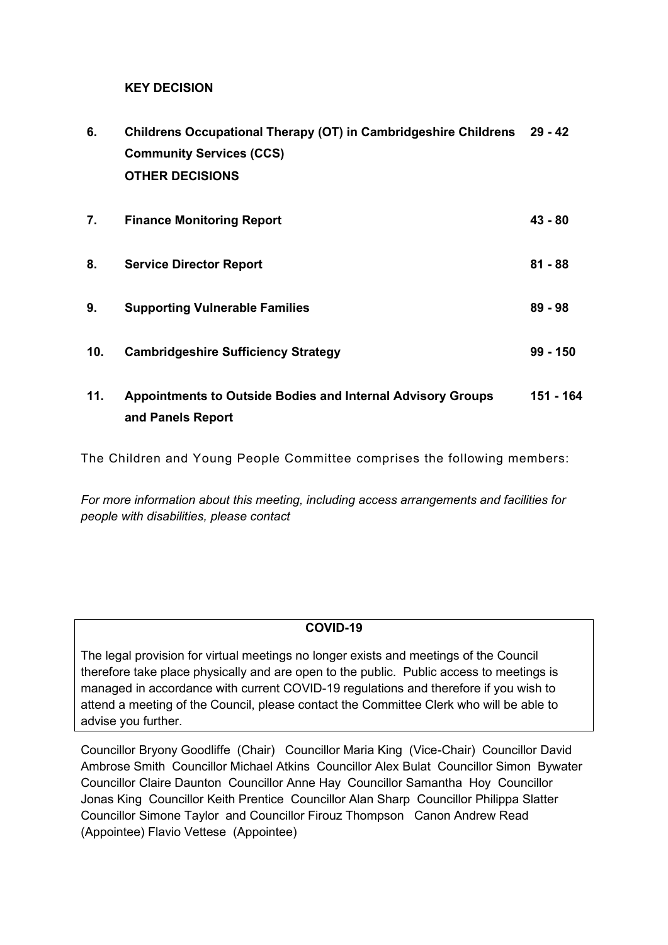#### **KEY DECISION**

| 6.  | Childrens Occupational Therapy (OT) in Cambridgeshire Childrens 29 - 42 |            |
|-----|-------------------------------------------------------------------------|------------|
|     | <b>Community Services (CCS)</b>                                         |            |
|     | <b>OTHER DECISIONS</b>                                                  |            |
|     |                                                                         |            |
| 7.  | <b>Finance Monitoring Report</b>                                        | $43 - 80$  |
|     |                                                                         |            |
| 8.  | <b>Service Director Report</b>                                          | $81 - 88$  |
| 9.  | <b>Supporting Vulnerable Families</b>                                   | $89 - 98$  |
|     |                                                                         |            |
| 10. | <b>Cambridgeshire Sufficiency Strategy</b>                              | $99 - 150$ |

**11. Appointments to Outside Bodies and Internal Advisory Groups and Panels Report 151 - 164**

The Children and Young People Committee comprises the following members:

*For more information about this meeting, including access arrangements and facilities for people with disabilities, please contact* 

#### **COVID-19**

The legal provision for virtual meetings no longer exists and meetings of the Council therefore take place physically and are open to the public. Public access to meetings is managed in accordance with current COVID-19 regulations and therefore if you wish to attend a meeting of the Council, please contact the Committee Clerk who will be able to advise you further.

Councillor Bryony Goodliffe (Chair) Councillor Maria King (Vice-Chair) Councillor David Ambrose Smith Councillor Michael Atkins Councillor Alex Bulat Councillor Simon Bywater Councillor Claire Daunton Councillor Anne Hay Councillor Samantha Hoy Councillor Jonas King Councillor Keith Prentice Councillor Alan Sharp Councillor Philippa Slatter Councillor Simone Taylor and Councillor Firouz Thompson Canon Andrew Read (Appointee) Flavio Vettese (Appointee)